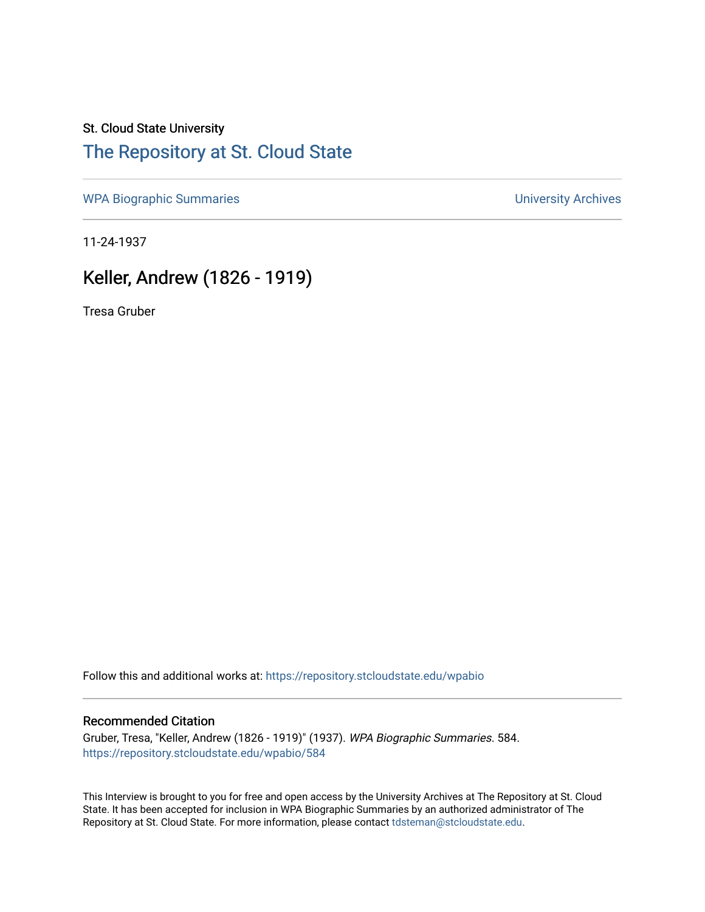## St. Cloud State University

# [The Repository at St. Cloud State](https://repository.stcloudstate.edu/)

[WPA Biographic Summaries](https://repository.stcloudstate.edu/wpabio) **WPA Biographic Summaries University Archives** 

11-24-1937

# Keller, Andrew (1826 - 1919)

Tresa Gruber

Follow this and additional works at: [https://repository.stcloudstate.edu/wpabio](https://repository.stcloudstate.edu/wpabio?utm_source=repository.stcloudstate.edu%2Fwpabio%2F584&utm_medium=PDF&utm_campaign=PDFCoverPages) 

#### Recommended Citation

Gruber, Tresa, "Keller, Andrew (1826 - 1919)" (1937). WPA Biographic Summaries. 584. [https://repository.stcloudstate.edu/wpabio/584](https://repository.stcloudstate.edu/wpabio/584?utm_source=repository.stcloudstate.edu%2Fwpabio%2F584&utm_medium=PDF&utm_campaign=PDFCoverPages) 

This Interview is brought to you for free and open access by the University Archives at The Repository at St. Cloud State. It has been accepted for inclusion in WPA Biographic Summaries by an authorized administrator of The Repository at St. Cloud State. For more information, please contact [tdsteman@stcloudstate.edu.](mailto:tdsteman@stcloudstate.edu)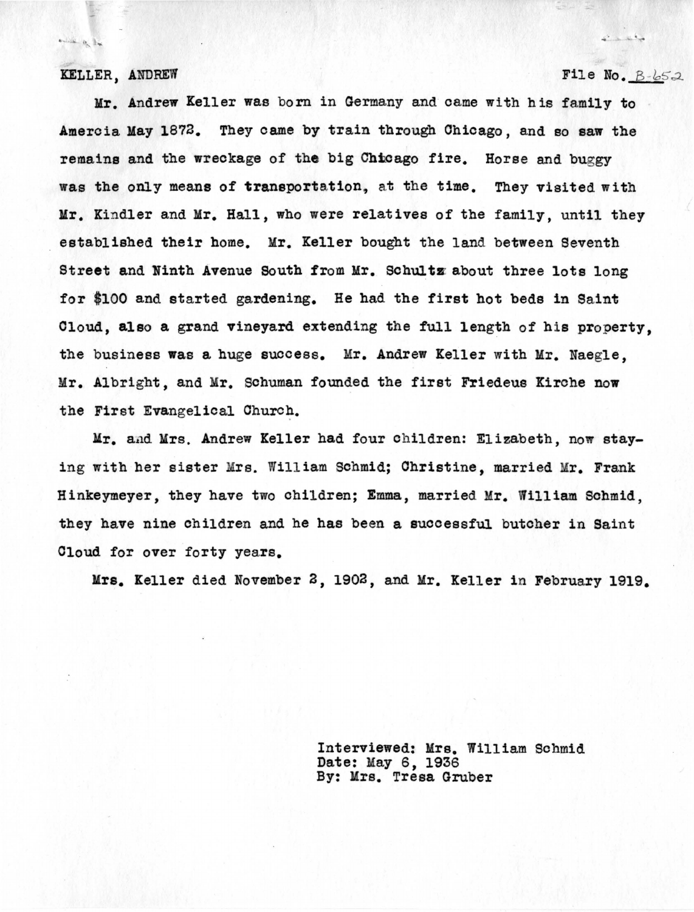#### KELLER, ANDREW

 $\begin{picture}(20,20) \put(0,0){\line(1,0){10}} \put(15,0){\line(1,0){10}} \put(15,0){\line(1,0){10}} \put(15,0){\line(1,0){10}} \put(15,0){\line(1,0){10}} \put(15,0){\line(1,0){10}} \put(15,0){\line(1,0){10}} \put(15,0){\line(1,0){10}} \put(15,0){\line(1,0){10}} \put(15,0){\line(1,0){10}} \put(15,0){\line(1,0){10}} \put(15,0){\line(1$ 

#### File No.  $B - b52$

La Salva

Mr. Andrew Keller was born in Germany and came with his family to Ameroia Kay 1872. They came by train through Chicago, and so saw the remains and the wreckage of the big Chhoago fire. Horse and buggy was the only means of transportation, at the time. They visited with Mr. Kindler and Mr. Hall, who were relatives of the family, until they established their home. Mr. Keller bought the land between Seventh Street and Ninth Avenue South from Mr. Schultz about three lots long for \$100 and started gardening. He had the first hot beds in Saint Cloud, **also a** grand vineyard extending the full length of his property, the business **was a** huge success. Mr. Andrew Keller with Mr. Naegle, Mr. Albright, and Mr. Schuman founded the first Friedeus Kirche now the First Evangelical Church.

Mr. and Mrs. Andrew Keller had four children: Elizabeth, now staying with her sister Mrs. William Schmid; Christine, married Mr. Frank Hinkeymeyer, they have two children; Emma, married Mr. William Schmid, they have nine children and he has been a suooessful butcher in Saint Cloud for over forty years.

Mrs. Keller died November 2, 1902, and Mr. Keller in February 1919.

Interviewed: Mrs. William Schmid Date: May 6, 1936 By: Mrs. Tresa Gruber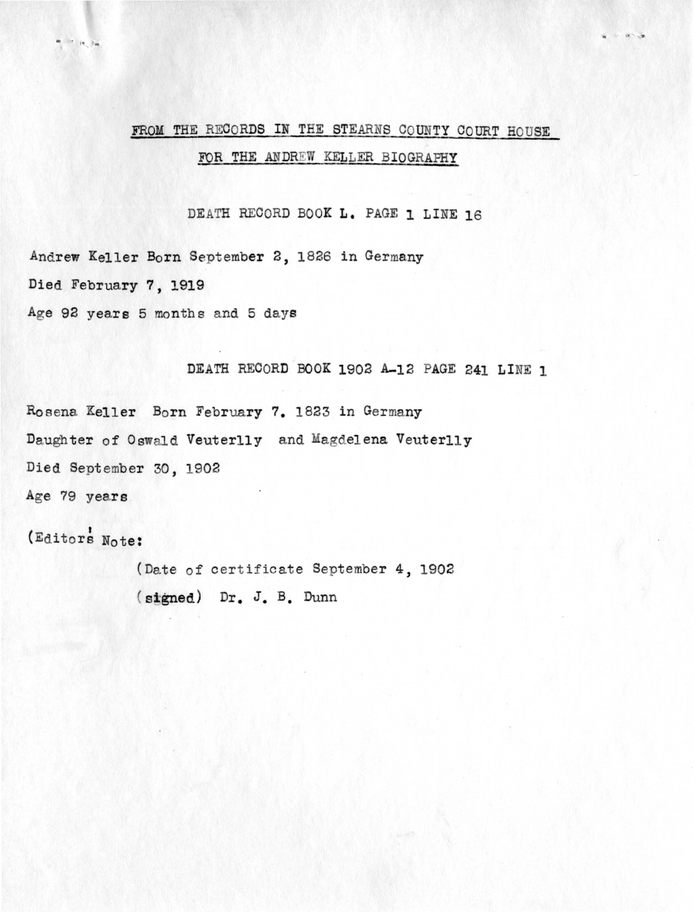# FROM THE RECORDS IN THE STEARNS COUNTY COURT HOUSE FOR THE ANDREW KELLER BIOGRAPHY

. . ,,.. .,

DEATH RECORD BOOK L. PAGE 1 LINE 16

Andrew Keller Born September 2, 1826 in Germany Died February 7, 1919 Age 92 years 5 months and 5 days

DEATH RECORD BOOK 1902 A-12 PAGE 241 LINE 1

Rosena Keller Born February 7. 1823 in Germany Daughter of Oswald Veuterlly and Magdelena Veuterlly Died September 30, 1902 Age 79 years.

(Editors Note:

(Date of certificate September 4, 1902 **stgned)** Dr. J.B. Dunn